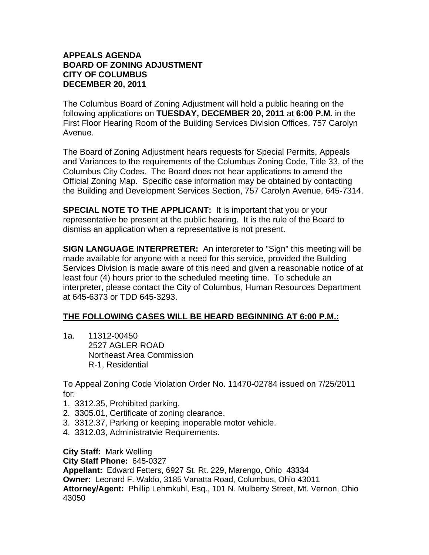## **APPEALS AGENDA BOARD OF ZONING ADJUSTMENT CITY OF COLUMBUS DECEMBER 20, 2011**

The Columbus Board of Zoning Adjustment will hold a public hearing on the following applications on **TUESDAY, DECEMBER 20, 2011** at **6:00 P.M.** in the First Floor Hearing Room of the Building Services Division Offices, 757 Carolyn Avenue.

The Board of Zoning Adjustment hears requests for Special Permits, Appeals and Variances to the requirements of the Columbus Zoning Code, Title 33, of the Columbus City Codes. The Board does not hear applications to amend the Official Zoning Map. Specific case information may be obtained by contacting the Building and Development Services Section, 757 Carolyn Avenue, 645-7314.

**SPECIAL NOTE TO THE APPLICANT:** It is important that you or your representative be present at the public hearing. It is the rule of the Board to dismiss an application when a representative is not present.

**SIGN LANGUAGE INTERPRETER:** An interpreter to "Sign" this meeting will be made available for anyone with a need for this service, provided the Building Services Division is made aware of this need and given a reasonable notice of at least four (4) hours prior to the scheduled meeting time. To schedule an interpreter, please contact the City of Columbus, Human Resources Department at 645-6373 or TDD 645-3293.

## **THE FOLLOWING CASES WILL BE HEARD BEGINNING AT 6:00 P.M.:**

1a. 11312-00450 2527 AGLER ROAD Northeast Area Commission R-1, Residential

To Appeal Zoning Code Violation Order No. 11470-02784 issued on 7/25/2011 for:

- 1. 3312.35, Prohibited parking.
- 2. 3305.01, Certificate of zoning clearance.
- 3. 3312.37, Parking or keeping inoperable motor vehicle.
- 4. 3312.03, Administratvie Requirements.

**City Staff:** Mark Welling

**City Staff Phone:** 645-0327

**Appellant:** Edward Fetters, 6927 St. Rt. 229, Marengo, Ohio 43334 **Owner:** Leonard F. Waldo, 3185 Vanatta Road, Columbus, Ohio 43011 **Attorney/Agent:** Phillip Lehmkuhl, Esq., 101 N. Mulberry Street, Mt. Vernon, Ohio 43050